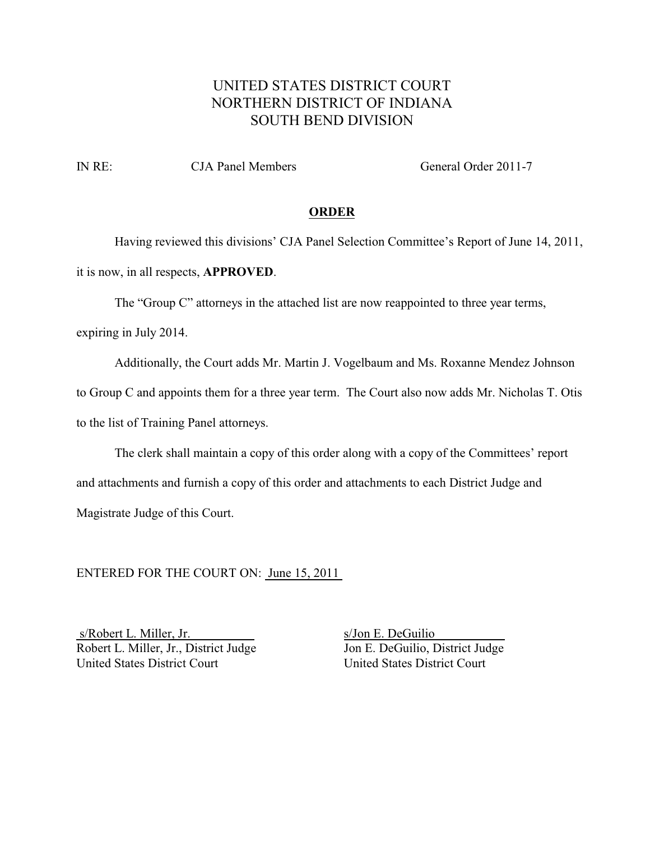# UNITED STATES DISTRICT COURT NORTHERN DISTRICT OF INDIANA SOUTH BEND DIVISION

IN RE: CJA Panel Members General Order 2011-7

#### **ORDER**

Having reviewed this divisions' CJA Panel Selection Committee's Report of June 14, 2011, it is now, in all respects, **APPROVED**.

The "Group C" attorneys in the attached list are now reappointed to three year terms,

expiring in July 2014.

Additionally, the Court adds Mr. Martin J. Vogelbaum and Ms. Roxanne Mendez Johnson to Group C and appoints them for a three year term. The Court also now adds Mr. Nicholas T. Otis to the list of Training Panel attorneys.

The clerk shall maintain a copy of this order along with a copy of the Committees' report and attachments and furnish a copy of this order and attachments to each District Judge and Magistrate Judge of this Court.

ENTERED FOR THE COURT ON: June 15, 2011

s/Robert L. Miller, Jr. s/Jon E. DeGuilio Robert L. Miller, Jr., District Judge Jon E. DeGuilio, District Judge United States District Court United States District Court